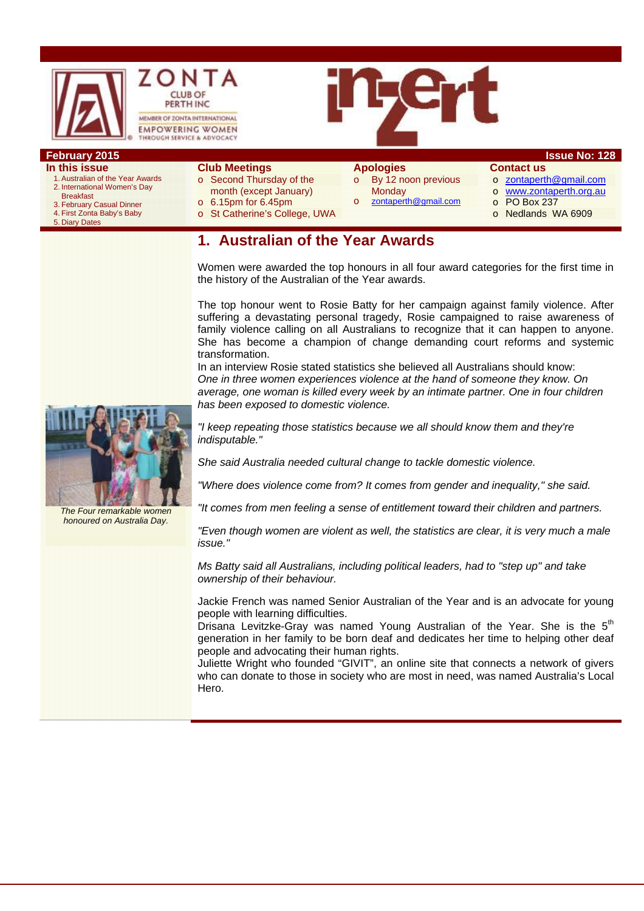

# **In this issue**

- 1. Australian of the Year Awards 2. International Women's Day Breakfast
	- 3. February Casual Dinner
	- 4. First Zonta Baby's Baby
- 5. Diary Dates

#### **Club Meetings**

- o Second Thursday of the
- month (except January)
- o 6.15pm for 6.45pm
- o St Catherine's College, UWA

## **Apologies**

- o By 12 noon previous **Monday** o zontaperth@gmail.com
- **Contact us**  o zontaperth@gmail.com
	- o www.zontaperth.org.au
	- o PO Box 237
	- o Nedlands WA 6909

# **1. Australian of the Year Awards**

Women were awarded the top honours in all four award categories for the first time in the history of the Australian of the Year awards.

The top honour went to Rosie Batty for her campaign against family violence. After suffering a devastating personal tragedy, Rosie campaigned to raise awareness of family violence calling on all Australians to recognize that it can happen to anyone. She has become a champion of change demanding court reforms and systemic transformation.

In an interview Rosie stated statistics she believed all Australians should know: *One in three women experiences violence at the hand of someone they know. On average, one woman is killed every week by an intimate partner. One in four children has been exposed to domestic violence.* 

*"I keep repeating those statistics because we all should know them and they're indisputable."* 

*She said Australia needed cultural change to tackle domestic violence.* 

*"Where does violence come from? It comes from gender and inequality," she said.* 

*"It comes from men feeling a sense of entitlement toward their children and partners.* 

*"Even though women are violent as well, the statistics are clear, it is very much a male issue."* 

*Ms Batty said all Australians, including political leaders, had to "step up" and take ownership of their behaviour.* 

Jackie French was named Senior Australian of the Year and is an advocate for young people with learning difficulties.

Drisana Levitzke-Gray was named Young Australian of the Year. She is the 5<sup>th</sup> generation in her family to be born deaf and dedicates her time to helping other deaf people and advocating their human rights.

Juliette Wright who founded "GIVIT", an online site that connects a network of givers who can donate to those in society who are most in need, was named Australia's Local Hero.



*The Four remarkable women honoured on Australia Day.*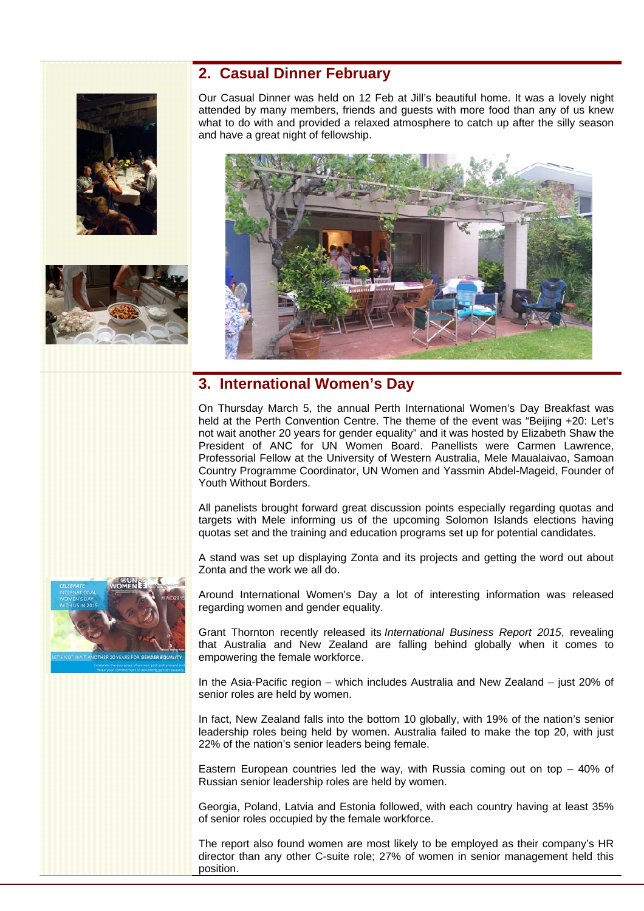



#### **2. Casual Dinner February**

Our Casual Dinner was held on 12 Feb at Jill's beautiful home. It was a lovely night attended by many members, friends and guests with more food than any of us knew what to do with and provided a relaxed atmosphere to catch up after the silly season and have a great night of fellowship.



## **3. International Women's Day**

On Thursday March 5, the annual Perth International Women's Day Breakfast was held at the Perth Convention Centre. The theme of the event was "Beijing +20: Let's not wait another 20 years for gender equality" and it was hosted by Elizabeth Shaw the President of ANC for UN Women Board. Panellists were Carmen Lawrence, Professorial Fellow at the University of Western Australia, Mele Maualaivao, Samoan Country Programme Coordinator, UN Women and Yassmin Abdel-Mageid, Founder of Youth Without Borders.

All panelists brought forward great discussion points especially regarding quotas and targets with Mele informing us of the upcoming Solomon Islands elections having quotas set and the training and education programs set up for potential candidates.

A stand was set up displaying Zonta and its projects and getting the word out about Zonta and the work we all do.

Around International Women's Day a lot of interesting information was released regarding women and gender equality.

Grant Thornton recently released its *International Business Report 2015*, revealing that Australia and New Zealand are falling behind globally when it comes to empowering the female workforce.

In the Asia-Pacific region – which includes Australia and New Zealand – just 20% of senior roles are held by women.

In fact, New Zealand falls into the bottom 10 globally, with 19% of the nation's senior leadership roles being held by women. Australia failed to make the top 20, with just 22% of the nation's senior leaders being female.

Eastern European countries led the way, with Russia coming out on top – 40% of Russian senior leadership roles are held by women.

Georgia, Poland, Latvia and Estonia followed, with each country having at least 35% of senior roles occupied by the female workforce.

The report also found women are most likely to be employed as their company's HR director than any other C-suite role; 27% of women in senior management held this position.